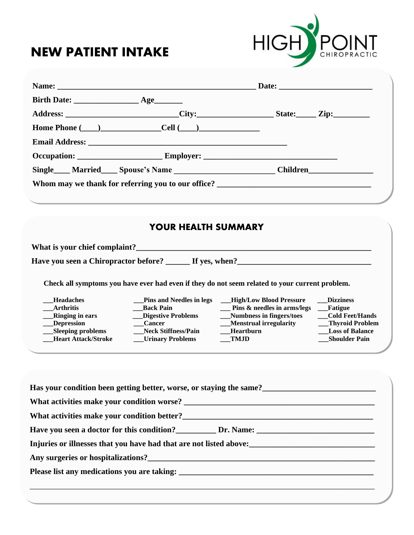## **NEW PATIENT INTAKE**



| Home Phone $(\_\_)$ Cell $(\_\_)$                         |                                                                                                                                                                                                                                     |  |
|-----------------------------------------------------------|-------------------------------------------------------------------------------------------------------------------------------------------------------------------------------------------------------------------------------------|--|
|                                                           |                                                                                                                                                                                                                                     |  |
|                                                           |                                                                                                                                                                                                                                     |  |
|                                                           | Single <b>Married Married Married Married Married</b> Married Married Married Married Married Married Married Married Married Married Married Married Married Married Married Married Married Married Married Married Married Marri |  |
|                                                           | Whom may we thank for referring you to our office? ______________________________                                                                                                                                                   |  |
|                                                           |                                                                                                                                                                                                                                     |  |
| <b>YOUR HEALTH SUMMARY</b>                                |                                                                                                                                                                                                                                     |  |
| What is your chief complaint?                             |                                                                                                                                                                                                                                     |  |
| Have you seen a Chiropractor before? ______ If yes, when? |                                                                                                                                                                                                                                     |  |

**Check all symptoms you have ever had even if they do not seem related to your current problem.**

| <b>Headaches</b> |  |
|------------------|--|
|                  |  |

- 
- 
- 
- 
- **Heart Attack/Stroke \_\_\_\_Urinary Problems**
- 
- 
- 
- 
- **Pins and Needles in legs \_\_\_High/Low Blood Pressure \_\_\_\_Dizziness \_\_\_Arthritis \_\_\_Back Pain \_\_\_ Pins & needles in arms/legs \_\_\_Fatigue \_\_\_Ringing in ears \_\_\_Digestive Problems \_\_\_Numbness in fingers/toes \_\_\_Cold Feet/Hands \_\_\_Depression \_\_\_Cancer \_\_\_Menstrual irregularity \_\_\_Thyroid Problem The EXECUTE PROBLEMS ASSES ASSESS ASSESS ASSESS AND THE EXECUTION CONSUMINGLED ASSESSMENT AND SHOULD SHOULD Shoulder Pain** 
	-
	-
	-
	-
	-

| Has your condition been getting better, worse, or staying the same? |  |  |  |  |
|---------------------------------------------------------------------|--|--|--|--|
|                                                                     |  |  |  |  |
|                                                                     |  |  |  |  |
|                                                                     |  |  |  |  |
| Injuries or illnesses that you have had that are not listed above:  |  |  |  |  |
|                                                                     |  |  |  |  |
|                                                                     |  |  |  |  |
|                                                                     |  |  |  |  |